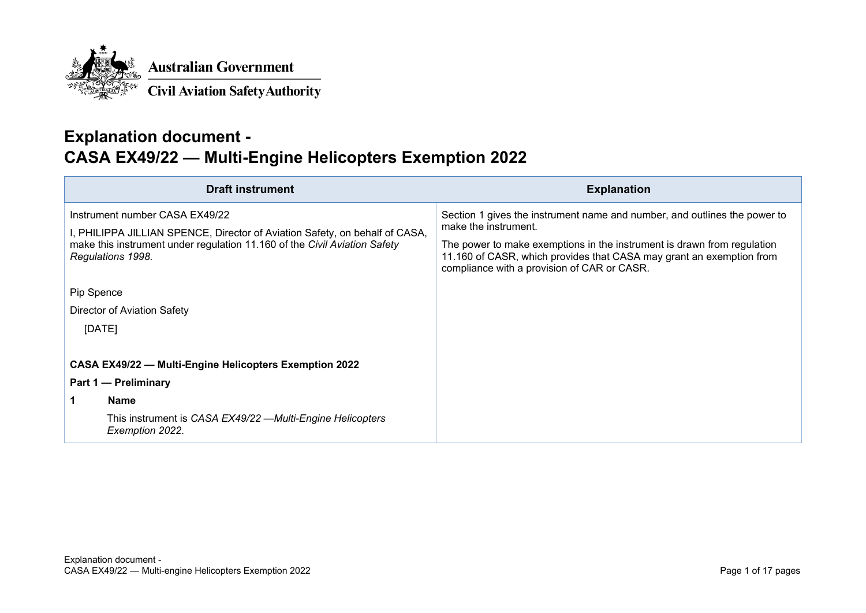

## **Explanation document - CASA EX49/22 — Multi-Engine Helicopters Exemption 2022**

| <b>Draft instrument</b>                                                                                                                                                                                         | <b>Explanation</b>                                                                                                                                                                                                                                                                                  |
|-----------------------------------------------------------------------------------------------------------------------------------------------------------------------------------------------------------------|-----------------------------------------------------------------------------------------------------------------------------------------------------------------------------------------------------------------------------------------------------------------------------------------------------|
| Instrument number CASA EX49/22<br>I, PHILIPPA JILLIAN SPENCE, Director of Aviation Safety, on behalf of CASA,<br>make this instrument under regulation 11.160 of the Civil Aviation Safety<br>Regulations 1998. | Section 1 gives the instrument name and number, and outlines the power to<br>make the instrument.<br>The power to make exemptions in the instrument is drawn from regulation<br>11.160 of CASR, which provides that CASA may grant an exemption from<br>compliance with a provision of CAR or CASR. |
| Pip Spence<br>Director of Aviation Safety<br>[DATE]                                                                                                                                                             |                                                                                                                                                                                                                                                                                                     |
| CASA EX49/22 - Multi-Engine Helicopters Exemption 2022<br>Part 1 – Preliminary<br><b>Name</b><br>This instrument is CASA EX49/22 —Multi-Engine Helicopters<br>Exemption 2022.                                   |                                                                                                                                                                                                                                                                                                     |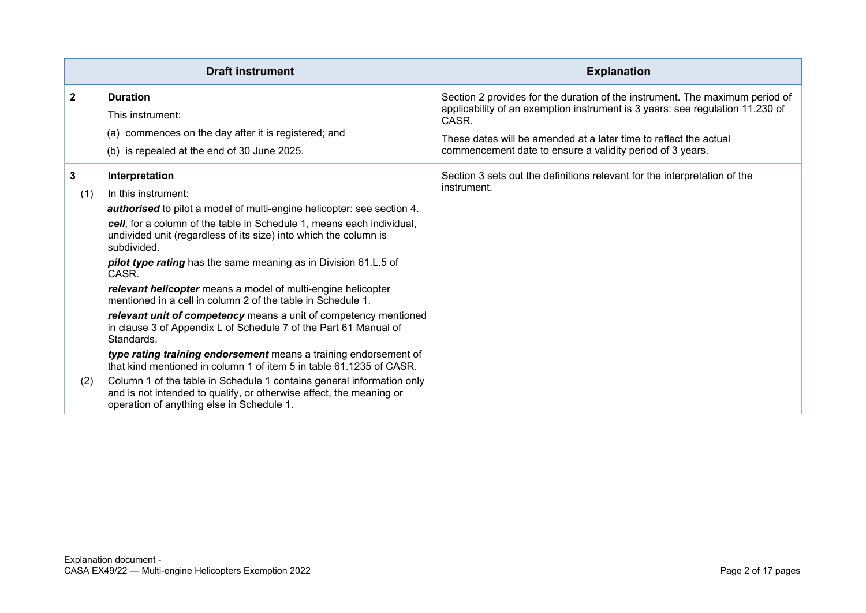|                 | <b>Draft instrument</b>                                                                                                                                                                                                                                                                                                                                                                                                                                                                                                                                                                                                                                                                                                                                                                                                                                                                                                                                                              | <b>Explanation</b>                                                                                                                                                                                                                                                                                       |
|-----------------|--------------------------------------------------------------------------------------------------------------------------------------------------------------------------------------------------------------------------------------------------------------------------------------------------------------------------------------------------------------------------------------------------------------------------------------------------------------------------------------------------------------------------------------------------------------------------------------------------------------------------------------------------------------------------------------------------------------------------------------------------------------------------------------------------------------------------------------------------------------------------------------------------------------------------------------------------------------------------------------|----------------------------------------------------------------------------------------------------------------------------------------------------------------------------------------------------------------------------------------------------------------------------------------------------------|
| $\mathbf{2}$    | <b>Duration</b><br>This instrument:<br>(a) commences on the day after it is registered; and<br>(b) is repealed at the end of 30 June 2025.                                                                                                                                                                                                                                                                                                                                                                                                                                                                                                                                                                                                                                                                                                                                                                                                                                           | Section 2 provides for the duration of the instrument. The maximum period of<br>applicability of an exemption instrument is 3 years: see regulation 11.230 of<br>CASR.<br>These dates will be amended at a later time to reflect the actual<br>commencement date to ensure a validity period of 3 years. |
| 3<br>(1)<br>(2) | Interpretation<br>In this instrument:<br>authorised to pilot a model of multi-engine helicopter: see section 4.<br>cell, for a column of the table in Schedule 1, means each individual,<br>undivided unit (regardless of its size) into which the column is<br>subdivided.<br>pilot type rating has the same meaning as in Division 61.L.5 of<br>CASR.<br>relevant helicopter means a model of multi-engine helicopter<br>mentioned in a cell in column 2 of the table in Schedule 1.<br>relevant unit of competency means a unit of competency mentioned<br>in clause 3 of Appendix L of Schedule 7 of the Part 61 Manual of<br>Standards.<br>type rating training endorsement means a training endorsement of<br>that kind mentioned in column 1 of item 5 in table 61.1235 of CASR.<br>Column 1 of the table in Schedule 1 contains general information only<br>and is not intended to qualify, or otherwise affect, the meaning or<br>operation of anything else in Schedule 1. | Section 3 sets out the definitions relevant for the interpretation of the<br>instrument.                                                                                                                                                                                                                 |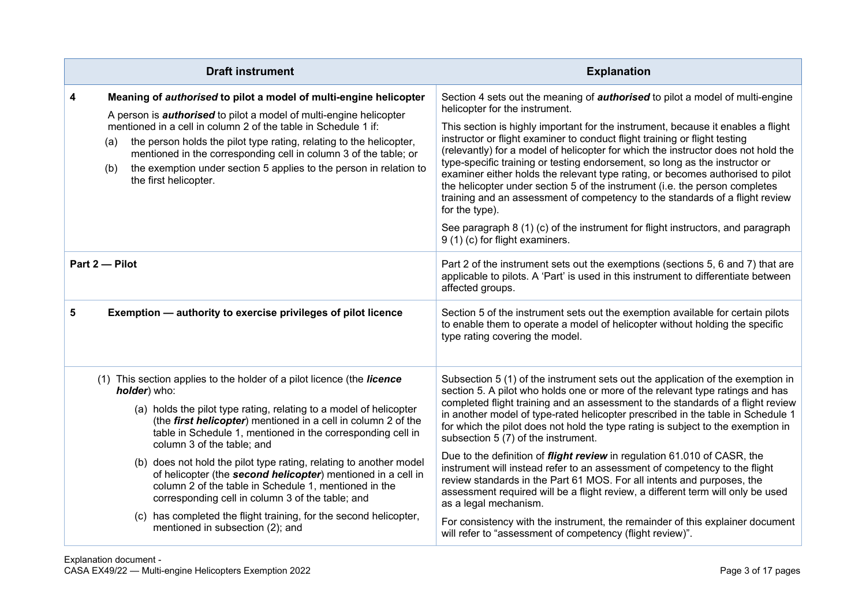|   | <b>Draft instrument</b>                                                                                                                                                                                                                                                                                                                                                                                                                                                                                                                                                                                                                            | <b>Explanation</b>                                                                                                                                                                                                                                                                                                                                                                                                                                                                                                                                                                                                                                                                                                                                                                                                                                                                                        |
|---|----------------------------------------------------------------------------------------------------------------------------------------------------------------------------------------------------------------------------------------------------------------------------------------------------------------------------------------------------------------------------------------------------------------------------------------------------------------------------------------------------------------------------------------------------------------------------------------------------------------------------------------------------|-----------------------------------------------------------------------------------------------------------------------------------------------------------------------------------------------------------------------------------------------------------------------------------------------------------------------------------------------------------------------------------------------------------------------------------------------------------------------------------------------------------------------------------------------------------------------------------------------------------------------------------------------------------------------------------------------------------------------------------------------------------------------------------------------------------------------------------------------------------------------------------------------------------|
| 4 | Meaning of authorised to pilot a model of multi-engine helicopter<br>A person is <b>authorised</b> to pilot a model of multi-engine helicopter<br>mentioned in a cell in column 2 of the table in Schedule 1 if:<br>the person holds the pilot type rating, relating to the helicopter,<br>(a)<br>mentioned in the corresponding cell in column 3 of the table; or<br>the exemption under section 5 applies to the person in relation to<br>(b)<br>the first helicopter.                                                                                                                                                                           | Section 4 sets out the meaning of <b>authorised</b> to pilot a model of multi-engine<br>helicopter for the instrument.<br>This section is highly important for the instrument, because it enables a flight<br>instructor or flight examiner to conduct flight training or flight testing<br>(relevantly) for a model of helicopter for which the instructor does not hold the<br>type-specific training or testing endorsement, so long as the instructor or<br>examiner either holds the relevant type rating, or becomes authorised to pilot<br>the helicopter under section 5 of the instrument (i.e. the person completes<br>training and an assessment of competency to the standards of a flight review<br>for the type).<br>See paragraph 8 (1) (c) of the instrument for flight instructors, and paragraph<br>9 (1) (c) for flight examiners.                                                     |
|   | Part 2-Pilot                                                                                                                                                                                                                                                                                                                                                                                                                                                                                                                                                                                                                                       | Part 2 of the instrument sets out the exemptions (sections 5, 6 and 7) that are<br>applicable to pilots. A 'Part' is used in this instrument to differentiate between<br>affected groups.                                                                                                                                                                                                                                                                                                                                                                                                                                                                                                                                                                                                                                                                                                                 |
| 5 | Exemption - authority to exercise privileges of pilot licence                                                                                                                                                                                                                                                                                                                                                                                                                                                                                                                                                                                      | Section 5 of the instrument sets out the exemption available for certain pilots<br>to enable them to operate a model of helicopter without holding the specific<br>type rating covering the model.                                                                                                                                                                                                                                                                                                                                                                                                                                                                                                                                                                                                                                                                                                        |
|   | (1) This section applies to the holder of a pilot licence (the licence<br>holder) who:<br>(a) holds the pilot type rating, relating to a model of helicopter<br>(the first helicopter) mentioned in a cell in column 2 of the<br>table in Schedule 1, mentioned in the corresponding cell in<br>column 3 of the table; and<br>(b) does not hold the pilot type rating, relating to another model<br>of helicopter (the second helicopter) mentioned in a cell in<br>column 2 of the table in Schedule 1, mentioned in the<br>corresponding cell in column 3 of the table; and<br>(c) has completed the flight training, for the second helicopter, | Subsection 5 (1) of the instrument sets out the application of the exemption in<br>section 5. A pilot who holds one or more of the relevant type ratings and has<br>completed flight training and an assessment to the standards of a flight review<br>in another model of type-rated helicopter prescribed in the table in Schedule 1<br>for which the pilot does not hold the type rating is subject to the exemption in<br>subsection 5 (7) of the instrument.<br>Due to the definition of <i>flight review</i> in regulation 61.010 of CASR, the<br>instrument will instead refer to an assessment of competency to the flight<br>review standards in the Part 61 MOS. For all intents and purposes, the<br>assessment required will be a flight review, a different term will only be used<br>as a legal mechanism.<br>For consistency with the instrument, the remainder of this explainer document |
|   | mentioned in subsection (2); and                                                                                                                                                                                                                                                                                                                                                                                                                                                                                                                                                                                                                   | will refer to "assessment of competency (flight review)".                                                                                                                                                                                                                                                                                                                                                                                                                                                                                                                                                                                                                                                                                                                                                                                                                                                 |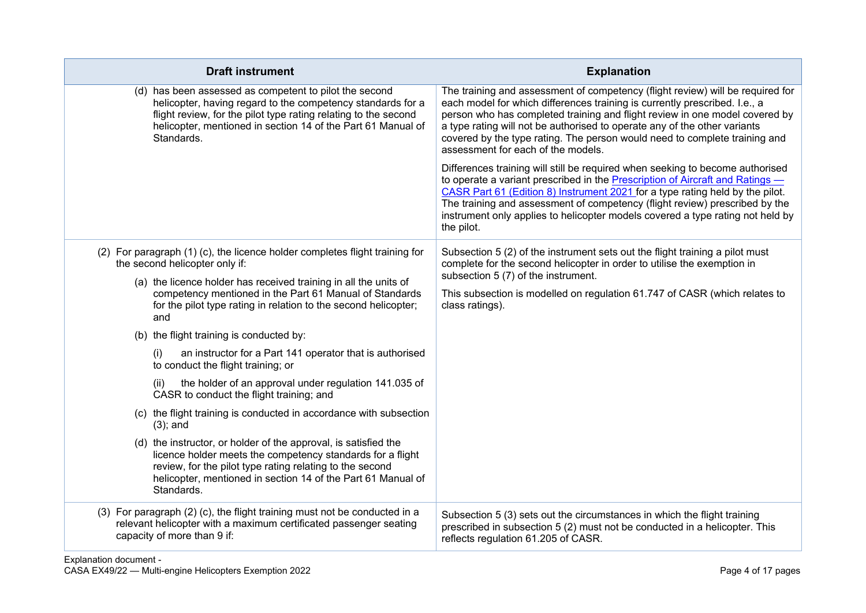| <b>Draft instrument</b>                                                                                                                                                                                                                                                 | <b>Explanation</b>                                                                                                                                                                                                                                                                                                                                                                                                                           |
|-------------------------------------------------------------------------------------------------------------------------------------------------------------------------------------------------------------------------------------------------------------------------|----------------------------------------------------------------------------------------------------------------------------------------------------------------------------------------------------------------------------------------------------------------------------------------------------------------------------------------------------------------------------------------------------------------------------------------------|
| (d) has been assessed as competent to pilot the second<br>helicopter, having regard to the competency standards for a<br>flight review, for the pilot type rating relating to the second<br>helicopter, mentioned in section 14 of the Part 61 Manual of<br>Standards.  | The training and assessment of competency (flight review) will be required for<br>each model for which differences training is currently prescribed. I.e., a<br>person who has completed training and flight review in one model covered by<br>a type rating will not be authorised to operate any of the other variants<br>covered by the type rating. The person would need to complete training and<br>assessment for each of the models. |
|                                                                                                                                                                                                                                                                         | Differences training will still be required when seeking to become authorised<br>to operate a variant prescribed in the Prescription of Aircraft and Ratings -<br>CASR Part 61 (Edition 8) Instrument 2021 for a type rating held by the pilot.<br>The training and assessment of competency (flight review) prescribed by the<br>instrument only applies to helicopter models covered a type rating not held by<br>the pilot.               |
| (2) For paragraph (1) (c), the licence holder completes flight training for<br>the second helicopter only if:                                                                                                                                                           | Subsection 5 (2) of the instrument sets out the flight training a pilot must<br>complete for the second helicopter in order to utilise the exemption in                                                                                                                                                                                                                                                                                      |
| (a) the licence holder has received training in all the units of<br>competency mentioned in the Part 61 Manual of Standards<br>for the pilot type rating in relation to the second helicopter;<br>and                                                                   | subsection 5 (7) of the instrument.<br>This subsection is modelled on regulation 61.747 of CASR (which relates to<br>class ratings).                                                                                                                                                                                                                                                                                                         |
| (b) the flight training is conducted by:                                                                                                                                                                                                                                |                                                                                                                                                                                                                                                                                                                                                                                                                                              |
| (i)<br>an instructor for a Part 141 operator that is authorised<br>to conduct the flight training; or                                                                                                                                                                   |                                                                                                                                                                                                                                                                                                                                                                                                                                              |
| the holder of an approval under regulation 141.035 of<br>(ii)<br>CASR to conduct the flight training; and                                                                                                                                                               |                                                                                                                                                                                                                                                                                                                                                                                                                                              |
| (c) the flight training is conducted in accordance with subsection<br>$(3)$ ; and                                                                                                                                                                                       |                                                                                                                                                                                                                                                                                                                                                                                                                                              |
| (d) the instructor, or holder of the approval, is satisfied the<br>licence holder meets the competency standards for a flight<br>review, for the pilot type rating relating to the second<br>helicopter, mentioned in section 14 of the Part 61 Manual of<br>Standards. |                                                                                                                                                                                                                                                                                                                                                                                                                                              |
| (3) For paragraph (2) (c), the flight training must not be conducted in a<br>relevant helicopter with a maximum certificated passenger seating<br>capacity of more than 9 if:                                                                                           | Subsection 5 (3) sets out the circumstances in which the flight training<br>prescribed in subsection 5 (2) must not be conducted in a helicopter. This<br>reflects regulation 61.205 of CASR.                                                                                                                                                                                                                                                |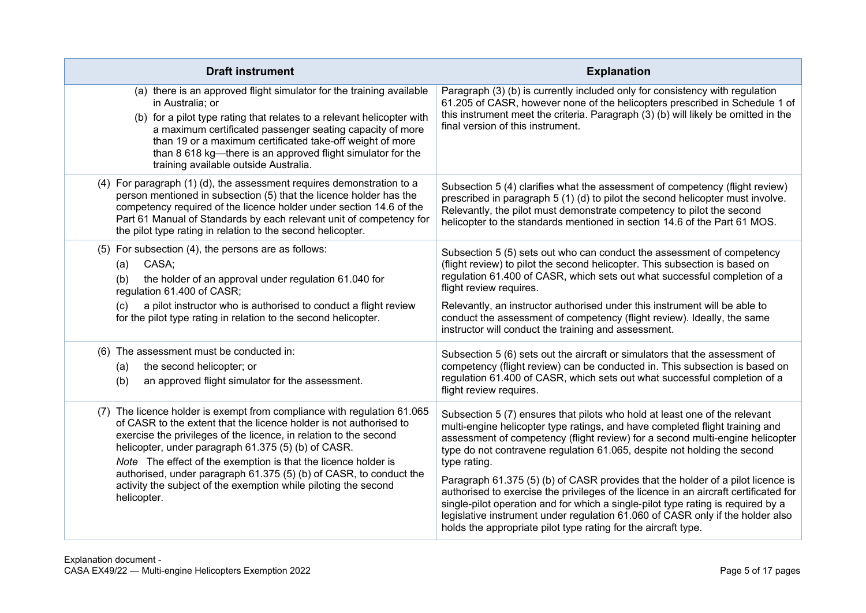| <b>Draft instrument</b>                                                                                                                                                                                                                                                                                                                                                                                                                                                                             | <b>Explanation</b>                                                                                                                                                                                                                                                                                                                                                                                                                                                                                                                                                                                                                                                                                                                                         |
|-----------------------------------------------------------------------------------------------------------------------------------------------------------------------------------------------------------------------------------------------------------------------------------------------------------------------------------------------------------------------------------------------------------------------------------------------------------------------------------------------------|------------------------------------------------------------------------------------------------------------------------------------------------------------------------------------------------------------------------------------------------------------------------------------------------------------------------------------------------------------------------------------------------------------------------------------------------------------------------------------------------------------------------------------------------------------------------------------------------------------------------------------------------------------------------------------------------------------------------------------------------------------|
| (a) there is an approved flight simulator for the training available<br>in Australia; or<br>(b) for a pilot type rating that relates to a relevant helicopter with<br>a maximum certificated passenger seating capacity of more<br>than 19 or a maximum certificated take-off weight of more<br>than 8 618 kg-there is an approved flight simulator for the<br>training available outside Australia.                                                                                                | Paragraph (3) (b) is currently included only for consistency with regulation<br>61.205 of CASR, however none of the helicopters prescribed in Schedule 1 of<br>this instrument meet the criteria. Paragraph (3) (b) will likely be omitted in the<br>final version of this instrument.                                                                                                                                                                                                                                                                                                                                                                                                                                                                     |
| (4) For paragraph (1) (d), the assessment requires demonstration to a<br>person mentioned in subsection (5) that the licence holder has the<br>competency required of the licence holder under section 14.6 of the<br>Part 61 Manual of Standards by each relevant unit of competency for<br>the pilot type rating in relation to the second helicopter.                                                                                                                                            | Subsection 5 (4) clarifies what the assessment of competency (flight review)<br>prescribed in paragraph 5 (1) (d) to pilot the second helicopter must involve.<br>Relevantly, the pilot must demonstrate competency to pilot the second<br>helicopter to the standards mentioned in section 14.6 of the Part 61 MOS.                                                                                                                                                                                                                                                                                                                                                                                                                                       |
| (5) For subsection (4), the persons are as follows:<br>CASA;<br>(a)<br>the holder of an approval under regulation 61.040 for<br>(b)<br>regulation 61.400 of CASR;<br>a pilot instructor who is authorised to conduct a flight review<br>(c)<br>for the pilot type rating in relation to the second helicopter.                                                                                                                                                                                      | Subsection 5 (5) sets out who can conduct the assessment of competency<br>(flight review) to pilot the second helicopter. This subsection is based on<br>regulation 61.400 of CASR, which sets out what successful completion of a<br>flight review requires.<br>Relevantly, an instructor authorised under this instrument will be able to<br>conduct the assessment of competency (flight review). Ideally, the same<br>instructor will conduct the training and assessment.                                                                                                                                                                                                                                                                             |
| (6) The assessment must be conducted in:<br>the second helicopter; or<br>(a)<br>an approved flight simulator for the assessment.<br>(b)                                                                                                                                                                                                                                                                                                                                                             | Subsection 5 (6) sets out the aircraft or simulators that the assessment of<br>competency (flight review) can be conducted in. This subsection is based on<br>regulation 61.400 of CASR, which sets out what successful completion of a<br>flight review requires.                                                                                                                                                                                                                                                                                                                                                                                                                                                                                         |
| (7) The licence holder is exempt from compliance with regulation 61.065<br>of CASR to the extent that the licence holder is not authorised to<br>exercise the privileges of the licence, in relation to the second<br>helicopter, under paragraph 61.375 (5) (b) of CASR.<br>Note The effect of the exemption is that the licence holder is<br>authorised, under paragraph 61.375 (5) (b) of CASR, to conduct the<br>activity the subject of the exemption while piloting the second<br>helicopter. | Subsection 5 (7) ensures that pilots who hold at least one of the relevant<br>multi-engine helicopter type ratings, and have completed flight training and<br>assessment of competency (flight review) for a second multi-engine helicopter<br>type do not contravene regulation 61.065, despite not holding the second<br>type rating.<br>Paragraph 61.375 (5) (b) of CASR provides that the holder of a pilot licence is<br>authorised to exercise the privileges of the licence in an aircraft certificated for<br>single-pilot operation and for which a single-pilot type rating is required by a<br>legislative instrument under regulation 61.060 of CASR only if the holder also<br>holds the appropriate pilot type rating for the aircraft type. |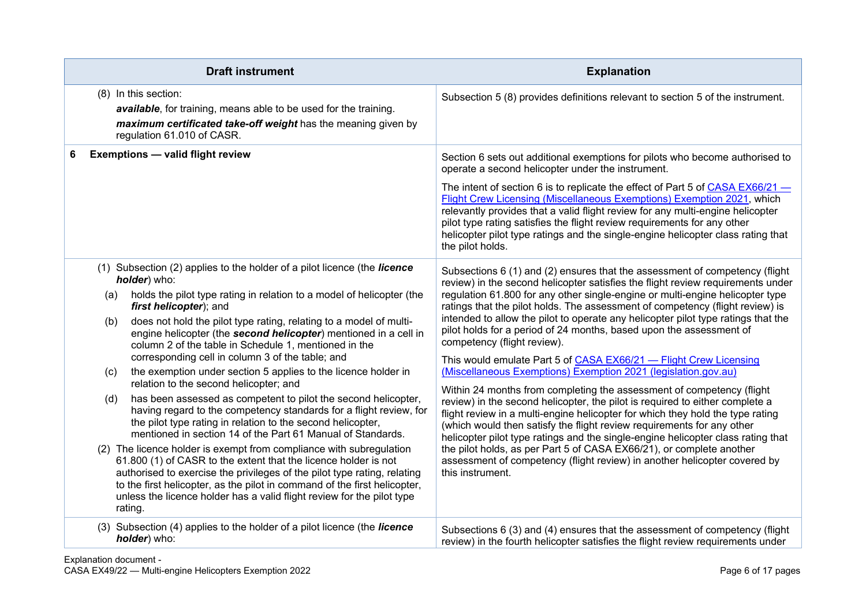| <b>Draft instrument</b>                                                                                                                                                                                                                                                                                                                                                                                                                                                                                                                                                                                                                                                                                                                                                                                                                                                                                                                                                                                                                                                                                                                                                                                                                                            | <b>Explanation</b>                                                                                                                                                                                                                                                                                                                                                                                                                                                                                                                                                                                                                                                                                                                                                                                                                                                                                                                                                                                                                                                                                                                                                                                                                                   |
|--------------------------------------------------------------------------------------------------------------------------------------------------------------------------------------------------------------------------------------------------------------------------------------------------------------------------------------------------------------------------------------------------------------------------------------------------------------------------------------------------------------------------------------------------------------------------------------------------------------------------------------------------------------------------------------------------------------------------------------------------------------------------------------------------------------------------------------------------------------------------------------------------------------------------------------------------------------------------------------------------------------------------------------------------------------------------------------------------------------------------------------------------------------------------------------------------------------------------------------------------------------------|------------------------------------------------------------------------------------------------------------------------------------------------------------------------------------------------------------------------------------------------------------------------------------------------------------------------------------------------------------------------------------------------------------------------------------------------------------------------------------------------------------------------------------------------------------------------------------------------------------------------------------------------------------------------------------------------------------------------------------------------------------------------------------------------------------------------------------------------------------------------------------------------------------------------------------------------------------------------------------------------------------------------------------------------------------------------------------------------------------------------------------------------------------------------------------------------------------------------------------------------------|
| (8) In this section:<br>available, for training, means able to be used for the training.<br>maximum certificated take-off weight has the meaning given by<br>regulation 61.010 of CASR.                                                                                                                                                                                                                                                                                                                                                                                                                                                                                                                                                                                                                                                                                                                                                                                                                                                                                                                                                                                                                                                                            | Subsection 5 (8) provides definitions relevant to section 5 of the instrument.                                                                                                                                                                                                                                                                                                                                                                                                                                                                                                                                                                                                                                                                                                                                                                                                                                                                                                                                                                                                                                                                                                                                                                       |
| <b>Exemptions - valid flight review</b><br>6                                                                                                                                                                                                                                                                                                                                                                                                                                                                                                                                                                                                                                                                                                                                                                                                                                                                                                                                                                                                                                                                                                                                                                                                                       | Section 6 sets out additional exemptions for pilots who become authorised to<br>operate a second helicopter under the instrument.<br>The intent of section 6 is to replicate the effect of Part 5 of CASA EX66/21 -<br>Flight Crew Licensing (Miscellaneous Exemptions) Exemption 2021, which<br>relevantly provides that a valid flight review for any multi-engine helicopter<br>pilot type rating satisfies the flight review requirements for any other<br>helicopter pilot type ratings and the single-engine helicopter class rating that<br>the pilot holds.                                                                                                                                                                                                                                                                                                                                                                                                                                                                                                                                                                                                                                                                                  |
| (1) Subsection (2) applies to the holder of a pilot licence (the <i>licence</i><br>holder) who:<br>holds the pilot type rating in relation to a model of helicopter (the<br>(a)<br>first helicopter); and<br>does not hold the pilot type rating, relating to a model of multi-<br>(b)<br>engine helicopter (the second helicopter) mentioned in a cell in<br>column 2 of the table in Schedule 1, mentioned in the<br>corresponding cell in column 3 of the table; and<br>the exemption under section 5 applies to the licence holder in<br>(c)<br>relation to the second helicopter; and<br>has been assessed as competent to pilot the second helicopter,<br>(d)<br>having regard to the competency standards for a flight review, for<br>the pilot type rating in relation to the second helicopter,<br>mentioned in section 14 of the Part 61 Manual of Standards.<br>The licence holder is exempt from compliance with subregulation<br>(2)<br>61.800 (1) of CASR to the extent that the licence holder is not<br>authorised to exercise the privileges of the pilot type rating, relating<br>to the first helicopter, as the pilot in command of the first helicopter,<br>unless the licence holder has a valid flight review for the pilot type<br>rating. | Subsections 6 (1) and (2) ensures that the assessment of competency (flight<br>review) in the second helicopter satisfies the flight review requirements under<br>regulation 61.800 for any other single-engine or multi-engine helicopter type<br>ratings that the pilot holds. The assessment of competency (flight review) is<br>intended to allow the pilot to operate any helicopter pilot type ratings that the<br>pilot holds for a period of 24 months, based upon the assessment of<br>competency (flight review).<br>This would emulate Part 5 of CASA EX66/21 - Flight Crew Licensing<br>(Miscellaneous Exemptions) Exemption 2021 (legislation.gov.au)<br>Within 24 months from completing the assessment of competency (flight<br>review) in the second helicopter, the pilot is required to either complete a<br>flight review in a multi-engine helicopter for which they hold the type rating<br>(which would then satisfy the flight review requirements for any other<br>helicopter pilot type ratings and the single-engine helicopter class rating that<br>the pilot holds, as per Part 5 of CASA EX66/21), or complete another<br>assessment of competency (flight review) in another helicopter covered by<br>this instrument. |
| (3) Subsection (4) applies to the holder of a pilot licence (the licence<br>holder) who:                                                                                                                                                                                                                                                                                                                                                                                                                                                                                                                                                                                                                                                                                                                                                                                                                                                                                                                                                                                                                                                                                                                                                                           | Subsections 6 (3) and (4) ensures that the assessment of competency (flight<br>review) in the fourth helicopter satisfies the flight review requirements under                                                                                                                                                                                                                                                                                                                                                                                                                                                                                                                                                                                                                                                                                                                                                                                                                                                                                                                                                                                                                                                                                       |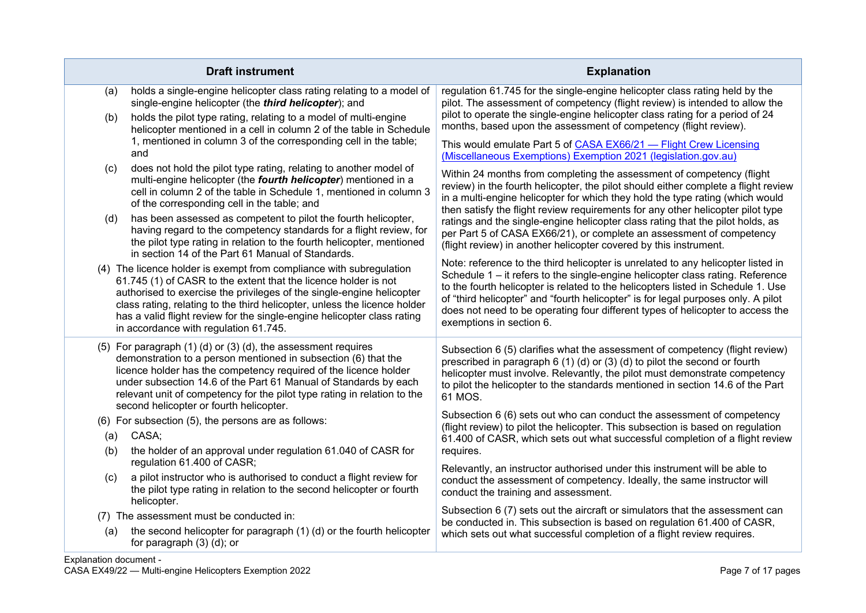| <b>Draft instrument</b>                                                                                                                                                                                                                                                                                                                                                                                          | <b>Explanation</b>                                                                                                                                                                                                                                                                                                                                                                                                                                        |
|------------------------------------------------------------------------------------------------------------------------------------------------------------------------------------------------------------------------------------------------------------------------------------------------------------------------------------------------------------------------------------------------------------------|-----------------------------------------------------------------------------------------------------------------------------------------------------------------------------------------------------------------------------------------------------------------------------------------------------------------------------------------------------------------------------------------------------------------------------------------------------------|
| holds a single-engine helicopter class rating relating to a model of<br>(a)<br>single-engine helicopter (the third helicopter); and<br>holds the pilot type rating, relating to a model of multi-engine<br>(b)<br>helicopter mentioned in a cell in column 2 of the table in Schedule                                                                                                                            | regulation 61.745 for the single-engine helicopter class rating held by the<br>pilot. The assessment of competency (flight review) is intended to allow the<br>pilot to operate the single-engine helicopter class rating for a period of 24<br>months, based upon the assessment of competency (flight review).                                                                                                                                          |
| 1, mentioned in column 3 of the corresponding cell in the table;<br>and                                                                                                                                                                                                                                                                                                                                          | This would emulate Part 5 of CASA EX66/21 - Flight Crew Licensing<br>(Miscellaneous Exemptions) Exemption 2021 (legislation.gov.au)                                                                                                                                                                                                                                                                                                                       |
| does not hold the pilot type rating, relating to another model of<br>(c)<br>multi-engine helicopter (the fourth helicopter) mentioned in a<br>cell in column 2 of the table in Schedule 1, mentioned in column 3<br>of the corresponding cell in the table; and                                                                                                                                                  | Within 24 months from completing the assessment of competency (flight<br>review) in the fourth helicopter, the pilot should either complete a flight review<br>in a multi-engine helicopter for which they hold the type rating (which would<br>then satisfy the flight review requirements for any other helicopter pilot type                                                                                                                           |
| has been assessed as competent to pilot the fourth helicopter,<br>(d)<br>having regard to the competency standards for a flight review, for<br>the pilot type rating in relation to the fourth helicopter, mentioned<br>in section 14 of the Part 61 Manual of Standards.                                                                                                                                        | ratings and the single-engine helicopter class rating that the pilot holds, as<br>per Part 5 of CASA EX66/21), or complete an assessment of competency<br>(flight review) in another helicopter covered by this instrument.                                                                                                                                                                                                                               |
| (4) The licence holder is exempt from compliance with subregulation<br>61.745 (1) of CASR to the extent that the licence holder is not<br>authorised to exercise the privileges of the single-engine helicopter<br>class rating, relating to the third helicopter, unless the licence holder<br>has a valid flight review for the single-engine helicopter class rating<br>in accordance with regulation 61.745. | Note: reference to the third helicopter is unrelated to any helicopter listed in<br>Schedule 1 - it refers to the single-engine helicopter class rating. Reference<br>to the fourth helicopter is related to the helicopters listed in Schedule 1. Use<br>of "third helicopter" and "fourth helicopter" is for legal purposes only. A pilot<br>does not need to be operating four different types of helicopter to access the<br>exemptions in section 6. |
| (5) For paragraph $(1)$ $(d)$ or $(3)$ $(d)$ , the assessment requires<br>demonstration to a person mentioned in subsection (6) that the<br>licence holder has the competency required of the licence holder<br>under subsection 14.6 of the Part 61 Manual of Standards by each<br>relevant unit of competency for the pilot type rating in relation to the<br>second helicopter or fourth helicopter.          | Subsection 6 (5) clarifies what the assessment of competency (flight review)<br>prescribed in paragraph 6 (1) (d) or (3) (d) to pilot the second or fourth<br>helicopter must involve. Relevantly, the pilot must demonstrate competency<br>to pilot the helicopter to the standards mentioned in section 14.6 of the Part<br>61 MOS.                                                                                                                     |
| (6) For subsection (5), the persons are as follows:<br>CASA;<br>(a)                                                                                                                                                                                                                                                                                                                                              | Subsection 6 (6) sets out who can conduct the assessment of competency<br>(flight review) to pilot the helicopter. This subsection is based on regulation<br>61.400 of CASR, which sets out what successful completion of a flight review                                                                                                                                                                                                                 |
| the holder of an approval under regulation 61.040 of CASR for<br>(b)<br>regulation 61.400 of CASR;                                                                                                                                                                                                                                                                                                               | requires.                                                                                                                                                                                                                                                                                                                                                                                                                                                 |
| a pilot instructor who is authorised to conduct a flight review for<br>(c)<br>the pilot type rating in relation to the second helicopter or fourth<br>helicopter.                                                                                                                                                                                                                                                | Relevantly, an instructor authorised under this instrument will be able to<br>conduct the assessment of competency. Ideally, the same instructor will<br>conduct the training and assessment.                                                                                                                                                                                                                                                             |
| (7) The assessment must be conducted in:                                                                                                                                                                                                                                                                                                                                                                         | Subsection 6 (7) sets out the aircraft or simulators that the assessment can<br>be conducted in. This subsection is based on regulation 61.400 of CASR,                                                                                                                                                                                                                                                                                                   |
| the second helicopter for paragraph (1) (d) or the fourth helicopter<br>(a)<br>for paragraph $(3)$ $(d)$ ; or                                                                                                                                                                                                                                                                                                    | which sets out what successful completion of a flight review requires.                                                                                                                                                                                                                                                                                                                                                                                    |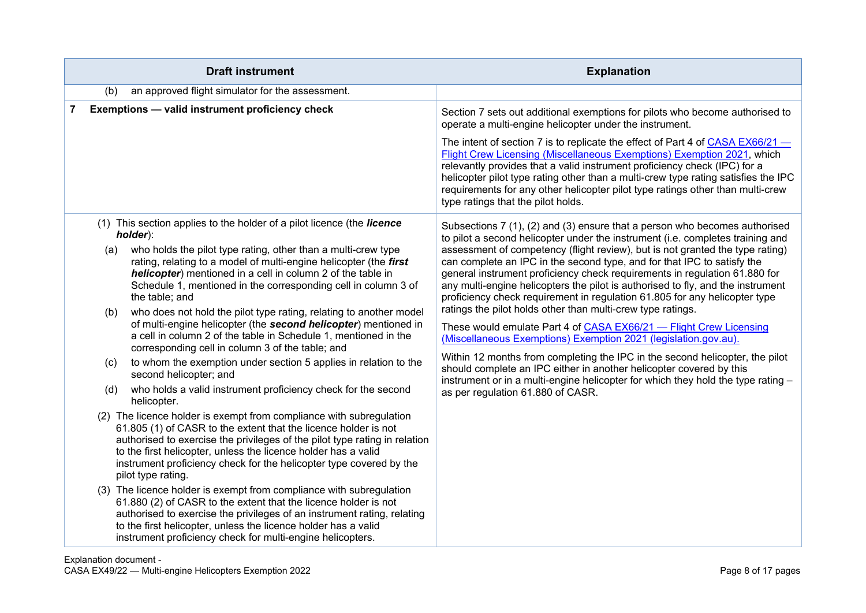| <b>Draft instrument</b>                                                                                                                                                                                                                                                                                                                                                                                                                                                                                                                                                                                                                                                                                                                                                                                                                                                                                                                                                                                                                                                                                                                                                                                                                                                                                                                                                                                                                                                                                                                                                                           | <b>Explanation</b>                                                                                                                                                                                                                                                                                                                                                                                                                                                                                                                                                                                                                                                                                                                                                                                                                                                                                                                                                                                                                                              |
|---------------------------------------------------------------------------------------------------------------------------------------------------------------------------------------------------------------------------------------------------------------------------------------------------------------------------------------------------------------------------------------------------------------------------------------------------------------------------------------------------------------------------------------------------------------------------------------------------------------------------------------------------------------------------------------------------------------------------------------------------------------------------------------------------------------------------------------------------------------------------------------------------------------------------------------------------------------------------------------------------------------------------------------------------------------------------------------------------------------------------------------------------------------------------------------------------------------------------------------------------------------------------------------------------------------------------------------------------------------------------------------------------------------------------------------------------------------------------------------------------------------------------------------------------------------------------------------------------|-----------------------------------------------------------------------------------------------------------------------------------------------------------------------------------------------------------------------------------------------------------------------------------------------------------------------------------------------------------------------------------------------------------------------------------------------------------------------------------------------------------------------------------------------------------------------------------------------------------------------------------------------------------------------------------------------------------------------------------------------------------------------------------------------------------------------------------------------------------------------------------------------------------------------------------------------------------------------------------------------------------------------------------------------------------------|
| an approved flight simulator for the assessment.<br>(b)                                                                                                                                                                                                                                                                                                                                                                                                                                                                                                                                                                                                                                                                                                                                                                                                                                                                                                                                                                                                                                                                                                                                                                                                                                                                                                                                                                                                                                                                                                                                           |                                                                                                                                                                                                                                                                                                                                                                                                                                                                                                                                                                                                                                                                                                                                                                                                                                                                                                                                                                                                                                                                 |
| Exemptions - valid instrument proficiency check<br>7                                                                                                                                                                                                                                                                                                                                                                                                                                                                                                                                                                                                                                                                                                                                                                                                                                                                                                                                                                                                                                                                                                                                                                                                                                                                                                                                                                                                                                                                                                                                              | Section 7 sets out additional exemptions for pilots who become authorised to<br>operate a multi-engine helicopter under the instrument.                                                                                                                                                                                                                                                                                                                                                                                                                                                                                                                                                                                                                                                                                                                                                                                                                                                                                                                         |
|                                                                                                                                                                                                                                                                                                                                                                                                                                                                                                                                                                                                                                                                                                                                                                                                                                                                                                                                                                                                                                                                                                                                                                                                                                                                                                                                                                                                                                                                                                                                                                                                   | The intent of section 7 is to replicate the effect of Part 4 of CASA EX66/21 -<br>Flight Crew Licensing (Miscellaneous Exemptions) Exemption 2021, which<br>relevantly provides that a valid instrument proficiency check (IPC) for a<br>helicopter pilot type rating other than a multi-crew type rating satisfies the IPC<br>requirements for any other helicopter pilot type ratings other than multi-crew<br>type ratings that the pilot holds.                                                                                                                                                                                                                                                                                                                                                                                                                                                                                                                                                                                                             |
| (1) This section applies to the holder of a pilot licence (the licence<br>holder):<br>who holds the pilot type rating, other than a multi-crew type<br>(a)<br>rating, relating to a model of multi-engine helicopter (the first<br>helicopter) mentioned in a cell in column 2 of the table in<br>Schedule 1, mentioned in the corresponding cell in column 3 of<br>the table; and<br>who does not hold the pilot type rating, relating to another model<br>(b)<br>of multi-engine helicopter (the second helicopter) mentioned in<br>a cell in column 2 of the table in Schedule 1, mentioned in the<br>corresponding cell in column 3 of the table; and<br>to whom the exemption under section 5 applies in relation to the<br>(c)<br>second helicopter; and<br>who holds a valid instrument proficiency check for the second<br>(d)<br>helicopter.<br>(2) The licence holder is exempt from compliance with subregulation<br>61.805 (1) of CASR to the extent that the licence holder is not<br>authorised to exercise the privileges of the pilot type rating in relation<br>to the first helicopter, unless the licence holder has a valid<br>instrument proficiency check for the helicopter type covered by the<br>pilot type rating.<br>(3) The licence holder is exempt from compliance with subregulation<br>61.880 (2) of CASR to the extent that the licence holder is not<br>authorised to exercise the privileges of an instrument rating, relating<br>to the first helicopter, unless the licence holder has a valid<br>instrument proficiency check for multi-engine helicopters. | Subsections 7 (1), (2) and (3) ensure that a person who becomes authorised<br>to pilot a second helicopter under the instrument (i.e. completes training and<br>assessment of competency (flight review), but is not granted the type rating)<br>can complete an IPC in the second type, and for that IPC to satisfy the<br>general instrument proficiency check requirements in regulation 61.880 for<br>any multi-engine helicopters the pilot is authorised to fly, and the instrument<br>proficiency check requirement in regulation 61.805 for any helicopter type<br>ratings the pilot holds other than multi-crew type ratings.<br>These would emulate Part 4 of CASA EX66/21 - Flight Crew Licensing<br>(Miscellaneous Exemptions) Exemption 2021 (legislation.gov.au).<br>Within 12 months from completing the IPC in the second helicopter, the pilot<br>should complete an IPC either in another helicopter covered by this<br>instrument or in a multi-engine helicopter for which they hold the type rating -<br>as per regulation 61.880 of CASR. |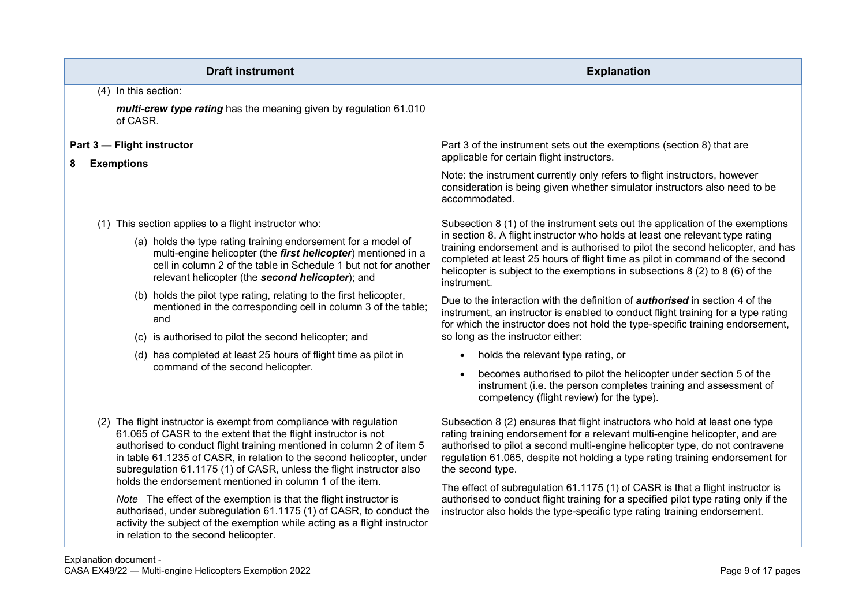| <b>Draft instrument</b>                                                                                                                                                                                                                                                                                                                                                                                                                                                                                                                                                                                                                                                                       | <b>Explanation</b>                                                                                                                                                                                                                                                                                                                                                                                                                                                                                                                                                                                                                                                                                                                                                                                                                                                                                                                                                                         |
|-----------------------------------------------------------------------------------------------------------------------------------------------------------------------------------------------------------------------------------------------------------------------------------------------------------------------------------------------------------------------------------------------------------------------------------------------------------------------------------------------------------------------------------------------------------------------------------------------------------------------------------------------------------------------------------------------|--------------------------------------------------------------------------------------------------------------------------------------------------------------------------------------------------------------------------------------------------------------------------------------------------------------------------------------------------------------------------------------------------------------------------------------------------------------------------------------------------------------------------------------------------------------------------------------------------------------------------------------------------------------------------------------------------------------------------------------------------------------------------------------------------------------------------------------------------------------------------------------------------------------------------------------------------------------------------------------------|
| (4) In this section:<br>multi-crew type rating has the meaning given by regulation 61.010<br>of CASR.                                                                                                                                                                                                                                                                                                                                                                                                                                                                                                                                                                                         |                                                                                                                                                                                                                                                                                                                                                                                                                                                                                                                                                                                                                                                                                                                                                                                                                                                                                                                                                                                            |
| Part 3 - Flight instructor<br>8<br><b>Exemptions</b>                                                                                                                                                                                                                                                                                                                                                                                                                                                                                                                                                                                                                                          | Part 3 of the instrument sets out the exemptions (section 8) that are<br>applicable for certain flight instructors.<br>Note: the instrument currently only refers to flight instructors, however<br>consideration is being given whether simulator instructors also need to be<br>accommodated.                                                                                                                                                                                                                                                                                                                                                                                                                                                                                                                                                                                                                                                                                            |
| (1) This section applies to a flight instructor who:<br>(a) holds the type rating training endorsement for a model of<br>multi-engine helicopter (the first helicopter) mentioned in a<br>cell in column 2 of the table in Schedule 1 but not for another<br>relevant helicopter (the second helicopter); and<br>(b) holds the pilot type rating, relating to the first helicopter,<br>mentioned in the corresponding cell in column 3 of the table;<br>and<br>(c) is authorised to pilot the second helicopter; and<br>(d) has completed at least 25 hours of flight time as pilot in<br>command of the second helicopter.                                                                   | Subsection 8 (1) of the instrument sets out the application of the exemptions<br>in section 8. A flight instructor who holds at least one relevant type rating<br>training endorsement and is authorised to pilot the second helicopter, and has<br>completed at least 25 hours of flight time as pilot in command of the second<br>helicopter is subject to the exemptions in subsections $8(2)$ to $8(6)$ of the<br>instrument.<br>Due to the interaction with the definition of <b>authorised</b> in section 4 of the<br>instrument, an instructor is enabled to conduct flight training for a type rating<br>for which the instructor does not hold the type-specific training endorsement,<br>so long as the instructor either:<br>holds the relevant type rating, or<br>$\bullet$<br>becomes authorised to pilot the helicopter under section 5 of the<br>$\bullet$<br>instrument (i.e. the person completes training and assessment of<br>competency (flight review) for the type). |
| (2) The flight instructor is exempt from compliance with regulation<br>61.065 of CASR to the extent that the flight instructor is not<br>authorised to conduct flight training mentioned in column 2 of item 5<br>in table 61.1235 of CASR, in relation to the second helicopter, under<br>subregulation 61.1175 (1) of CASR, unless the flight instructor also<br>holds the endorsement mentioned in column 1 of the item.<br>Note The effect of the exemption is that the flight instructor is<br>authorised, under subregulation 61.1175 (1) of CASR, to conduct the<br>activity the subject of the exemption while acting as a flight instructor<br>in relation to the second helicopter. | Subsection 8 (2) ensures that flight instructors who hold at least one type<br>rating training endorsement for a relevant multi-engine helicopter, and are<br>authorised to pilot a second multi-engine helicopter type, do not contravene<br>regulation 61.065, despite not holding a type rating training endorsement for<br>the second type.<br>The effect of subregulation 61.1175 (1) of CASR is that a flight instructor is<br>authorised to conduct flight training for a specified pilot type rating only if the<br>instructor also holds the type-specific type rating training endorsement.                                                                                                                                                                                                                                                                                                                                                                                      |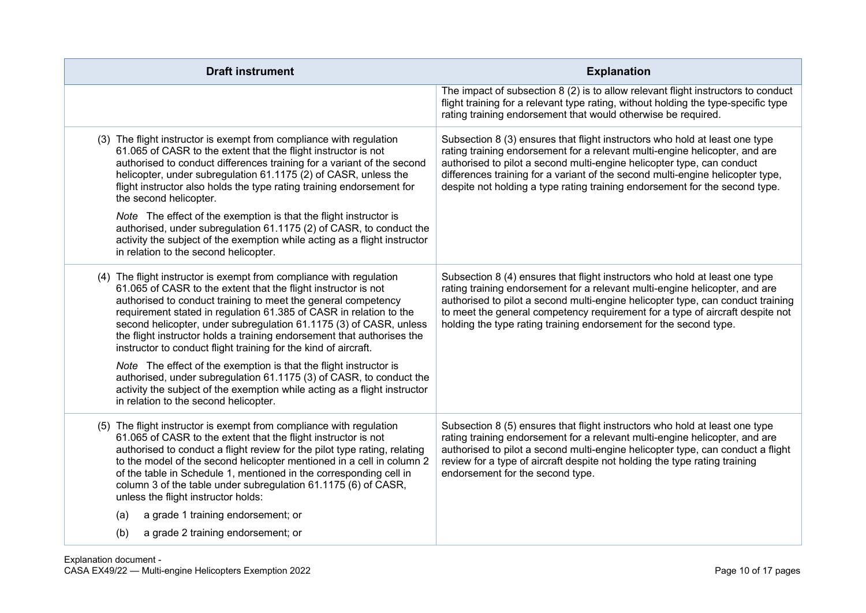| <b>Draft instrument</b>                                                                                                                                                                                                                                                                                                                                                                                                                                                                         | <b>Explanation</b>                                                                                                                                                                                                                                                                                                                                                                                    |
|-------------------------------------------------------------------------------------------------------------------------------------------------------------------------------------------------------------------------------------------------------------------------------------------------------------------------------------------------------------------------------------------------------------------------------------------------------------------------------------------------|-------------------------------------------------------------------------------------------------------------------------------------------------------------------------------------------------------------------------------------------------------------------------------------------------------------------------------------------------------------------------------------------------------|
|                                                                                                                                                                                                                                                                                                                                                                                                                                                                                                 | The impact of subsection 8 (2) is to allow relevant flight instructors to conduct<br>flight training for a relevant type rating, without holding the type-specific type<br>rating training endorsement that would otherwise be required.                                                                                                                                                              |
| (3) The flight instructor is exempt from compliance with regulation<br>61.065 of CASR to the extent that the flight instructor is not<br>authorised to conduct differences training for a variant of the second<br>helicopter, under subregulation 61.1175 (2) of CASR, unless the<br>flight instructor also holds the type rating training endorsement for<br>the second helicopter.                                                                                                           | Subsection 8 (3) ensures that flight instructors who hold at least one type<br>rating training endorsement for a relevant multi-engine helicopter, and are<br>authorised to pilot a second multi-engine helicopter type, can conduct<br>differences training for a variant of the second multi-engine helicopter type,<br>despite not holding a type rating training endorsement for the second type. |
| Note The effect of the exemption is that the flight instructor is<br>authorised, under subregulation 61.1175 (2) of CASR, to conduct the<br>activity the subject of the exemption while acting as a flight instructor<br>in relation to the second helicopter.                                                                                                                                                                                                                                  |                                                                                                                                                                                                                                                                                                                                                                                                       |
| (4) The flight instructor is exempt from compliance with regulation<br>61.065 of CASR to the extent that the flight instructor is not<br>authorised to conduct training to meet the general competency<br>requirement stated in regulation 61.385 of CASR in relation to the<br>second helicopter, under subregulation 61.1175 (3) of CASR, unless<br>the flight instructor holds a training endorsement that authorises the<br>instructor to conduct flight training for the kind of aircraft. | Subsection 8 (4) ensures that flight instructors who hold at least one type<br>rating training endorsement for a relevant multi-engine helicopter, and are<br>authorised to pilot a second multi-engine helicopter type, can conduct training<br>to meet the general competency requirement for a type of aircraft despite not<br>holding the type rating training endorsement for the second type.   |
| Note The effect of the exemption is that the flight instructor is<br>authorised, under subregulation 61.1175 (3) of CASR, to conduct the<br>activity the subject of the exemption while acting as a flight instructor<br>in relation to the second helicopter.                                                                                                                                                                                                                                  |                                                                                                                                                                                                                                                                                                                                                                                                       |
| (5) The flight instructor is exempt from compliance with regulation<br>61.065 of CASR to the extent that the flight instructor is not<br>authorised to conduct a flight review for the pilot type rating, relating<br>to the model of the second helicopter mentioned in a cell in column 2<br>of the table in Schedule 1, mentioned in the corresponding cell in<br>column 3 of the table under subregulation 61.1175 (6) of CASR,<br>unless the flight instructor holds:                      | Subsection 8 (5) ensures that flight instructors who hold at least one type<br>rating training endorsement for a relevant multi-engine helicopter, and are<br>authorised to pilot a second multi-engine helicopter type, can conduct a flight<br>review for a type of aircraft despite not holding the type rating training<br>endorsement for the second type.                                       |
| a grade 1 training endorsement; or<br>(a)                                                                                                                                                                                                                                                                                                                                                                                                                                                       |                                                                                                                                                                                                                                                                                                                                                                                                       |
| a grade 2 training endorsement; or<br>(b)                                                                                                                                                                                                                                                                                                                                                                                                                                                       |                                                                                                                                                                                                                                                                                                                                                                                                       |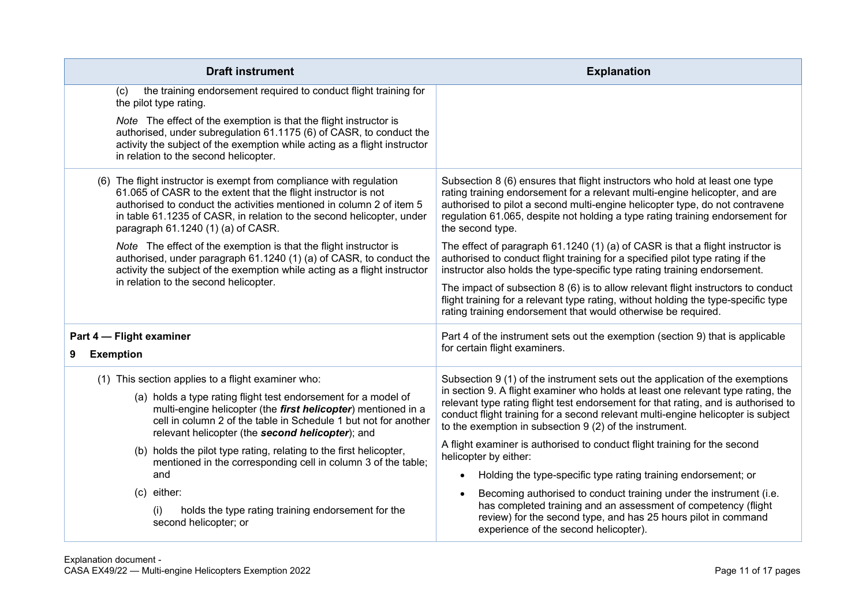| <b>Draft instrument</b>                                                                                                                                                                                                                                                                                                      | <b>Explanation</b>                                                                                                                                                                                                                                                                                                                              |
|------------------------------------------------------------------------------------------------------------------------------------------------------------------------------------------------------------------------------------------------------------------------------------------------------------------------------|-------------------------------------------------------------------------------------------------------------------------------------------------------------------------------------------------------------------------------------------------------------------------------------------------------------------------------------------------|
| the training endorsement required to conduct flight training for<br>(c)<br>the pilot type rating.                                                                                                                                                                                                                            |                                                                                                                                                                                                                                                                                                                                                 |
| Note The effect of the exemption is that the flight instructor is<br>authorised, under subregulation 61.1175 (6) of CASR, to conduct the<br>activity the subject of the exemption while acting as a flight instructor<br>in relation to the second helicopter.                                                               |                                                                                                                                                                                                                                                                                                                                                 |
| (6) The flight instructor is exempt from compliance with regulation<br>61.065 of CASR to the extent that the flight instructor is not<br>authorised to conduct the activities mentioned in column 2 of item 5<br>in table 61.1235 of CASR, in relation to the second helicopter, under<br>paragraph 61.1240 (1) (a) of CASR. | Subsection 8 (6) ensures that flight instructors who hold at least one type<br>rating training endorsement for a relevant multi-engine helicopter, and are<br>authorised to pilot a second multi-engine helicopter type, do not contravene<br>regulation 61.065, despite not holding a type rating training endorsement for<br>the second type. |
| Note The effect of the exemption is that the flight instructor is<br>authorised, under paragraph 61.1240 (1) (a) of CASR, to conduct the<br>activity the subject of the exemption while acting as a flight instructor<br>in relation to the second helicopter.                                                               | The effect of paragraph 61.1240 (1) (a) of CASR is that a flight instructor is<br>authorised to conduct flight training for a specified pilot type rating if the<br>instructor also holds the type-specific type rating training endorsement.                                                                                                   |
|                                                                                                                                                                                                                                                                                                                              | The impact of subsection 8 (6) is to allow relevant flight instructors to conduct<br>flight training for a relevant type rating, without holding the type-specific type<br>rating training endorsement that would otherwise be required.                                                                                                        |
| Part 4 - Flight examiner                                                                                                                                                                                                                                                                                                     | Part 4 of the instrument sets out the exemption (section 9) that is applicable                                                                                                                                                                                                                                                                  |
| <b>Exemption</b><br>9                                                                                                                                                                                                                                                                                                        | for certain flight examiners.                                                                                                                                                                                                                                                                                                                   |
| (1) This section applies to a flight examiner who:                                                                                                                                                                                                                                                                           | Subsection 9 (1) of the instrument sets out the application of the exemptions                                                                                                                                                                                                                                                                   |
| (a) holds a type rating flight test endorsement for a model of<br>multi-engine helicopter (the <i>first helicopter</i> ) mentioned in a<br>cell in column 2 of the table in Schedule 1 but not for another<br>relevant helicopter (the second helicopter); and                                                               | in section 9. A flight examiner who holds at least one relevant type rating, the<br>relevant type rating flight test endorsement for that rating, and is authorised to<br>conduct flight training for a second relevant multi-engine helicopter is subject<br>to the exemption in subsection 9 (2) of the instrument.                           |
| (b) holds the pilot type rating, relating to the first helicopter,                                                                                                                                                                                                                                                           | A flight examiner is authorised to conduct flight training for the second<br>helicopter by either:                                                                                                                                                                                                                                              |
| mentioned in the corresponding cell in column 3 of the table;<br>and                                                                                                                                                                                                                                                         | Holding the type-specific type rating training endorsement; or<br>$\bullet$                                                                                                                                                                                                                                                                     |
| (c) either:                                                                                                                                                                                                                                                                                                                  | Becoming authorised to conduct training under the instrument (i.e.                                                                                                                                                                                                                                                                              |
| holds the type rating training endorsement for the<br>(i)<br>second helicopter; or                                                                                                                                                                                                                                           | has completed training and an assessment of competency (flight<br>review) for the second type, and has 25 hours pilot in command<br>experience of the second helicopter).                                                                                                                                                                       |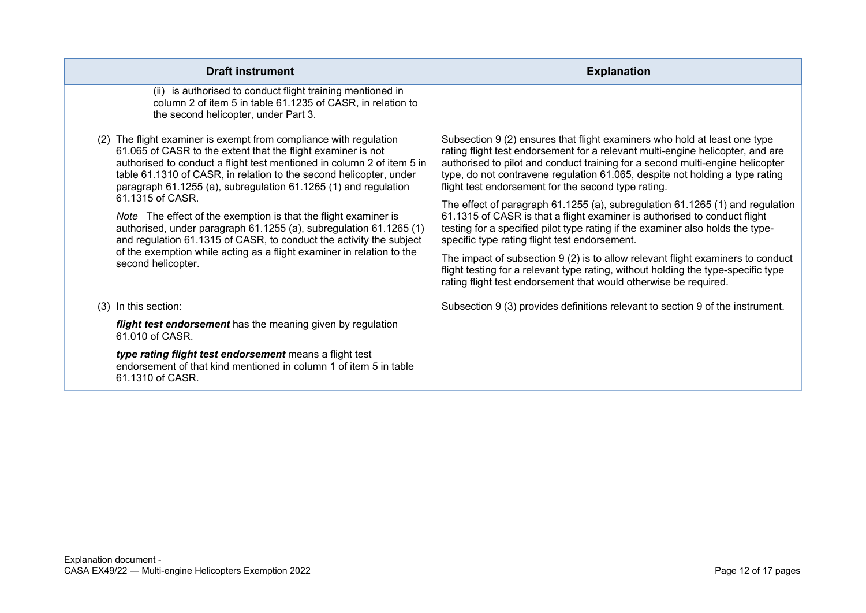| <b>Draft instrument</b>                                                                                                                                                                                                                                                                                                                                                                                                                                                                                                                                                                                                                                                                 | <b>Explanation</b>                                                                                                                                                                                                                                                                                                                                                                                                                                                                                                                                                                                                                                                                                                                                                                                                                                                                                                               |
|-----------------------------------------------------------------------------------------------------------------------------------------------------------------------------------------------------------------------------------------------------------------------------------------------------------------------------------------------------------------------------------------------------------------------------------------------------------------------------------------------------------------------------------------------------------------------------------------------------------------------------------------------------------------------------------------|----------------------------------------------------------------------------------------------------------------------------------------------------------------------------------------------------------------------------------------------------------------------------------------------------------------------------------------------------------------------------------------------------------------------------------------------------------------------------------------------------------------------------------------------------------------------------------------------------------------------------------------------------------------------------------------------------------------------------------------------------------------------------------------------------------------------------------------------------------------------------------------------------------------------------------|
| (ii) is authorised to conduct flight training mentioned in<br>column 2 of item 5 in table 61.1235 of CASR, in relation to<br>the second helicopter, under Part 3.                                                                                                                                                                                                                                                                                                                                                                                                                                                                                                                       |                                                                                                                                                                                                                                                                                                                                                                                                                                                                                                                                                                                                                                                                                                                                                                                                                                                                                                                                  |
| (2) The flight examiner is exempt from compliance with regulation<br>61.065 of CASR to the extent that the flight examiner is not<br>authorised to conduct a flight test mentioned in column 2 of item 5 in<br>table 61.1310 of CASR, in relation to the second helicopter, under<br>paragraph 61.1255 (a), subregulation 61.1265 (1) and regulation<br>61.1315 of CASR.<br>Note The effect of the exemption is that the flight examiner is<br>authorised, under paragraph 61.1255 (a), subregulation 61.1265 (1)<br>and regulation 61.1315 of CASR, to conduct the activity the subject<br>of the exemption while acting as a flight examiner in relation to the<br>second helicopter. | Subsection 9 (2) ensures that flight examiners who hold at least one type<br>rating flight test endorsement for a relevant multi-engine helicopter, and are<br>authorised to pilot and conduct training for a second multi-engine helicopter<br>type, do not contravene regulation 61.065, despite not holding a type rating<br>flight test endorsement for the second type rating.<br>The effect of paragraph 61.1255 (a), subregulation 61.1265 (1) and regulation<br>61.1315 of CASR is that a flight examiner is authorised to conduct flight<br>testing for a specified pilot type rating if the examiner also holds the type-<br>specific type rating flight test endorsement.<br>The impact of subsection 9 (2) is to allow relevant flight examiners to conduct<br>flight testing for a relevant type rating, without holding the type-specific type<br>rating flight test endorsement that would otherwise be required. |
| (3) In this section:                                                                                                                                                                                                                                                                                                                                                                                                                                                                                                                                                                                                                                                                    | Subsection 9 (3) provides definitions relevant to section 9 of the instrument.                                                                                                                                                                                                                                                                                                                                                                                                                                                                                                                                                                                                                                                                                                                                                                                                                                                   |
| flight test endorsement has the meaning given by regulation<br>61.010 of CASR.                                                                                                                                                                                                                                                                                                                                                                                                                                                                                                                                                                                                          |                                                                                                                                                                                                                                                                                                                                                                                                                                                                                                                                                                                                                                                                                                                                                                                                                                                                                                                                  |
| type rating flight test endorsement means a flight test<br>endorsement of that kind mentioned in column 1 of item 5 in table<br>61.1310 of CASR.                                                                                                                                                                                                                                                                                                                                                                                                                                                                                                                                        |                                                                                                                                                                                                                                                                                                                                                                                                                                                                                                                                                                                                                                                                                                                                                                                                                                                                                                                                  |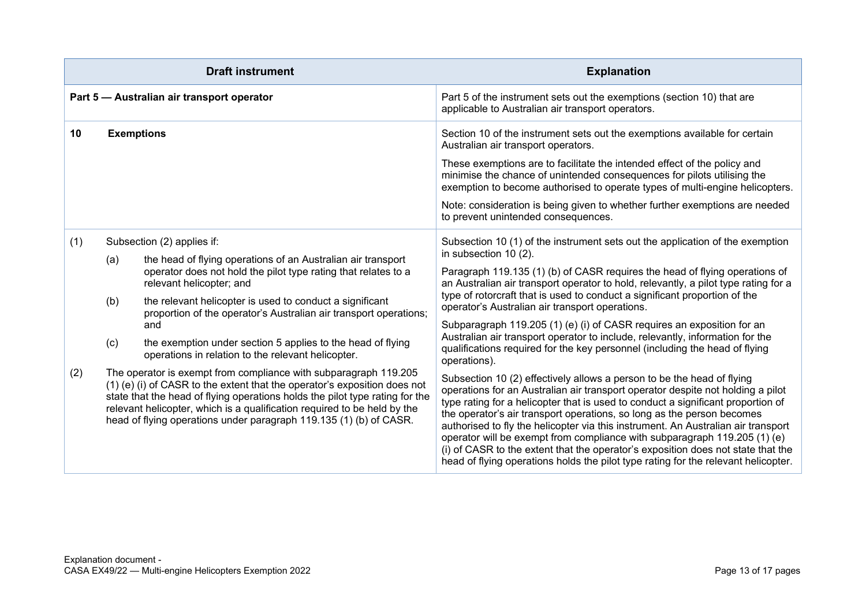|            | <b>Draft instrument</b>                                                                                                                                                                                                                                                                                                                                                                                                                                                                                                                                                                                                                                                                                                                                                                                                                                       | <b>Explanation</b>                                                                                                                                                                                                                                                                                                                                                                                                                                                                                                                                                                                                                                                                                                                                                                                                                                                                                                                                                                                                                                                                                                                                                                                                                                                                                                                             |
|------------|---------------------------------------------------------------------------------------------------------------------------------------------------------------------------------------------------------------------------------------------------------------------------------------------------------------------------------------------------------------------------------------------------------------------------------------------------------------------------------------------------------------------------------------------------------------------------------------------------------------------------------------------------------------------------------------------------------------------------------------------------------------------------------------------------------------------------------------------------------------|------------------------------------------------------------------------------------------------------------------------------------------------------------------------------------------------------------------------------------------------------------------------------------------------------------------------------------------------------------------------------------------------------------------------------------------------------------------------------------------------------------------------------------------------------------------------------------------------------------------------------------------------------------------------------------------------------------------------------------------------------------------------------------------------------------------------------------------------------------------------------------------------------------------------------------------------------------------------------------------------------------------------------------------------------------------------------------------------------------------------------------------------------------------------------------------------------------------------------------------------------------------------------------------------------------------------------------------------|
|            | Part 5 - Australian air transport operator                                                                                                                                                                                                                                                                                                                                                                                                                                                                                                                                                                                                                                                                                                                                                                                                                    | Part 5 of the instrument sets out the exemptions (section 10) that are<br>applicable to Australian air transport operators.                                                                                                                                                                                                                                                                                                                                                                                                                                                                                                                                                                                                                                                                                                                                                                                                                                                                                                                                                                                                                                                                                                                                                                                                                    |
| 10         | <b>Exemptions</b>                                                                                                                                                                                                                                                                                                                                                                                                                                                                                                                                                                                                                                                                                                                                                                                                                                             | Section 10 of the instrument sets out the exemptions available for certain<br>Australian air transport operators.<br>These exemptions are to facilitate the intended effect of the policy and<br>minimise the chance of unintended consequences for pilots utilising the<br>exemption to become authorised to operate types of multi-engine helicopters.<br>Note: consideration is being given to whether further exemptions are needed<br>to prevent unintended consequences.                                                                                                                                                                                                                                                                                                                                                                                                                                                                                                                                                                                                                                                                                                                                                                                                                                                                 |
| (1)<br>(2) | Subsection (2) applies if:<br>the head of flying operations of an Australian air transport<br>(a)<br>operator does not hold the pilot type rating that relates to a<br>relevant helicopter; and<br>the relevant helicopter is used to conduct a significant<br>(b)<br>proportion of the operator's Australian air transport operations;<br>and<br>the exemption under section 5 applies to the head of flying<br>(c)<br>operations in relation to the relevant helicopter.<br>The operator is exempt from compliance with subparagraph 119.205<br>(1) (e) (i) of CASR to the extent that the operator's exposition does not<br>state that the head of flying operations holds the pilot type rating for the<br>relevant helicopter, which is a qualification required to be held by the<br>head of flying operations under paragraph 119.135 (1) (b) of CASR. | Subsection 10 (1) of the instrument sets out the application of the exemption<br>in subsection 10 (2).<br>Paragraph 119.135 (1) (b) of CASR requires the head of flying operations of<br>an Australian air transport operator to hold, relevantly, a pilot type rating for a<br>type of rotorcraft that is used to conduct a significant proportion of the<br>operator's Australian air transport operations.<br>Subparagraph 119.205 (1) (e) (i) of CASR requires an exposition for an<br>Australian air transport operator to include, relevantly, information for the<br>qualifications required for the key personnel (including the head of flying<br>operations).<br>Subsection 10 (2) effectively allows a person to be the head of flying<br>operations for an Australian air transport operator despite not holding a pilot<br>type rating for a helicopter that is used to conduct a significant proportion of<br>the operator's air transport operations, so long as the person becomes<br>authorised to fly the helicopter via this instrument. An Australian air transport<br>operator will be exempt from compliance with subparagraph 119.205 (1) (e)<br>(i) of CASR to the extent that the operator's exposition does not state that the<br>head of flying operations holds the pilot type rating for the relevant helicopter. |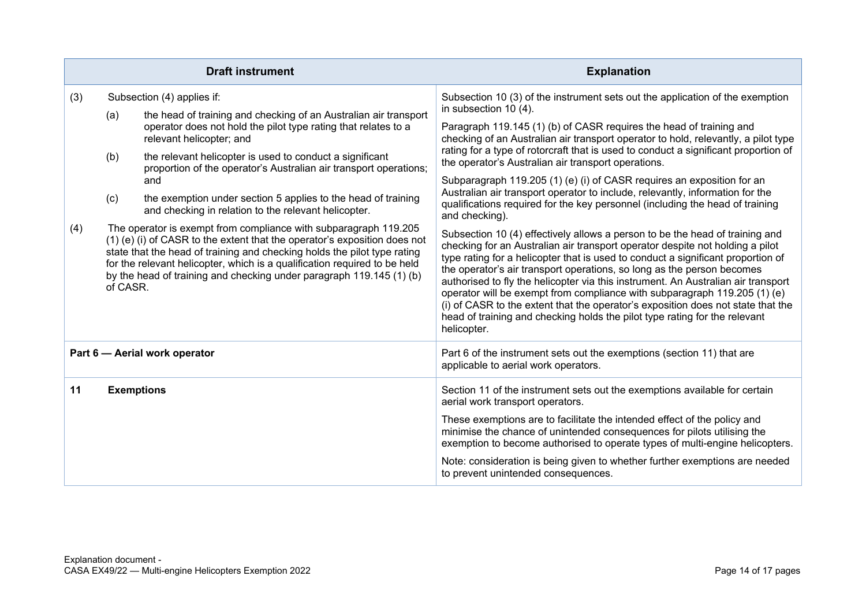|     |          | <b>Draft instrument</b>                                                                                                                                                                                                                                                                                                                                                        | <b>Explanation</b>                                                                                                                                                                                                                                                                                                                                                                                                                                                                                                                                                                                                                                                             |
|-----|----------|--------------------------------------------------------------------------------------------------------------------------------------------------------------------------------------------------------------------------------------------------------------------------------------------------------------------------------------------------------------------------------|--------------------------------------------------------------------------------------------------------------------------------------------------------------------------------------------------------------------------------------------------------------------------------------------------------------------------------------------------------------------------------------------------------------------------------------------------------------------------------------------------------------------------------------------------------------------------------------------------------------------------------------------------------------------------------|
| (3) |          | Subsection (4) applies if:                                                                                                                                                                                                                                                                                                                                                     | Subsection 10 (3) of the instrument sets out the application of the exemption<br>in subsection 10 (4).                                                                                                                                                                                                                                                                                                                                                                                                                                                                                                                                                                         |
|     | (a)      | the head of training and checking of an Australian air transport<br>operator does not hold the pilot type rating that relates to a<br>relevant helicopter; and                                                                                                                                                                                                                 | Paragraph 119.145 (1) (b) of CASR requires the head of training and<br>checking of an Australian air transport operator to hold, relevantly, a pilot type                                                                                                                                                                                                                                                                                                                                                                                                                                                                                                                      |
|     | (b)      | the relevant helicopter is used to conduct a significant<br>proportion of the operator's Australian air transport operations;                                                                                                                                                                                                                                                  | rating for a type of rotorcraft that is used to conduct a significant proportion of<br>the operator's Australian air transport operations.                                                                                                                                                                                                                                                                                                                                                                                                                                                                                                                                     |
|     |          | and                                                                                                                                                                                                                                                                                                                                                                            | Subparagraph 119.205 (1) (e) (i) of CASR requires an exposition for an<br>Australian air transport operator to include, relevantly, information for the                                                                                                                                                                                                                                                                                                                                                                                                                                                                                                                        |
|     | (c)      | the exemption under section 5 applies to the head of training<br>and checking in relation to the relevant helicopter.                                                                                                                                                                                                                                                          | qualifications required for the key personnel (including the head of training<br>and checking).                                                                                                                                                                                                                                                                                                                                                                                                                                                                                                                                                                                |
| (4) | of CASR. | The operator is exempt from compliance with subparagraph 119.205<br>(1) (e) (i) of CASR to the extent that the operator's exposition does not<br>state that the head of training and checking holds the pilot type rating<br>for the relevant helicopter, which is a qualification required to be held<br>by the head of training and checking under paragraph 119.145 (1) (b) | Subsection 10 (4) effectively allows a person to be the head of training and<br>checking for an Australian air transport operator despite not holding a pilot<br>type rating for a helicopter that is used to conduct a significant proportion of<br>the operator's air transport operations, so long as the person becomes<br>authorised to fly the helicopter via this instrument. An Australian air transport<br>operator will be exempt from compliance with subparagraph 119.205 (1) (e)<br>(i) of CASR to the extent that the operator's exposition does not state that the<br>head of training and checking holds the pilot type rating for the relevant<br>helicopter. |
|     |          | Part 6 - Aerial work operator                                                                                                                                                                                                                                                                                                                                                  | Part 6 of the instrument sets out the exemptions (section 11) that are<br>applicable to aerial work operators.                                                                                                                                                                                                                                                                                                                                                                                                                                                                                                                                                                 |
| 11  |          | <b>Exemptions</b>                                                                                                                                                                                                                                                                                                                                                              | Section 11 of the instrument sets out the exemptions available for certain<br>aerial work transport operators.                                                                                                                                                                                                                                                                                                                                                                                                                                                                                                                                                                 |
|     |          |                                                                                                                                                                                                                                                                                                                                                                                | These exemptions are to facilitate the intended effect of the policy and<br>minimise the chance of unintended consequences for pilots utilising the<br>exemption to become authorised to operate types of multi-engine helicopters.                                                                                                                                                                                                                                                                                                                                                                                                                                            |
|     |          |                                                                                                                                                                                                                                                                                                                                                                                | Note: consideration is being given to whether further exemptions are needed<br>to prevent unintended consequences.                                                                                                                                                                                                                                                                                                                                                                                                                                                                                                                                                             |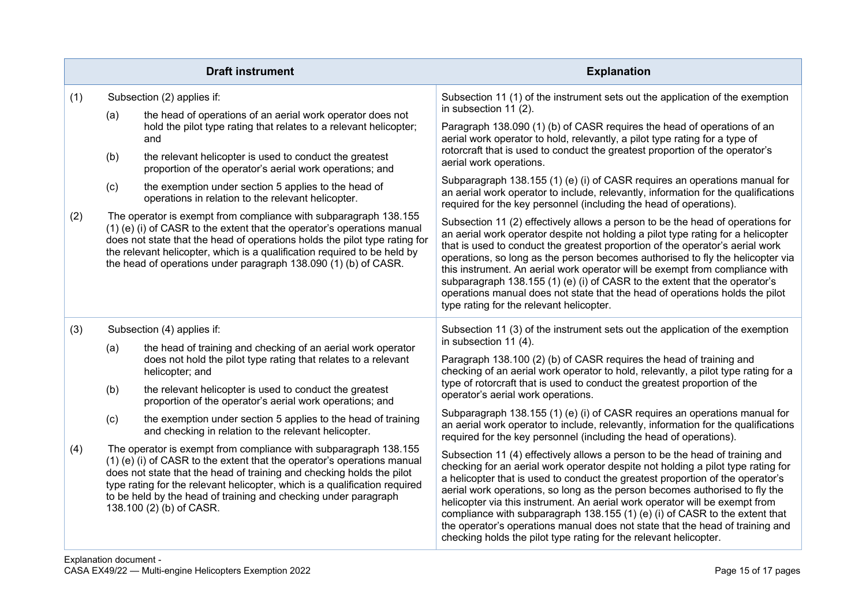|     |     | <b>Draft instrument</b>                                                                                                                                                                                                                                                                                                                                                                           | <b>Explanation</b>                                                                                                                                                                                                                                                                                                                                                                                                                                                                                                                                                                                                                                    |
|-----|-----|---------------------------------------------------------------------------------------------------------------------------------------------------------------------------------------------------------------------------------------------------------------------------------------------------------------------------------------------------------------------------------------------------|-------------------------------------------------------------------------------------------------------------------------------------------------------------------------------------------------------------------------------------------------------------------------------------------------------------------------------------------------------------------------------------------------------------------------------------------------------------------------------------------------------------------------------------------------------------------------------------------------------------------------------------------------------|
| (1) |     | Subsection (2) applies if:                                                                                                                                                                                                                                                                                                                                                                        | Subsection 11 (1) of the instrument sets out the application of the exemption                                                                                                                                                                                                                                                                                                                                                                                                                                                                                                                                                                         |
|     | (a) | the head of operations of an aerial work operator does not<br>hold the pilot type rating that relates to a relevant helicopter;<br>and                                                                                                                                                                                                                                                            | in subsection 11 (2).<br>Paragraph 138.090 (1) (b) of CASR requires the head of operations of an<br>aerial work operator to hold, relevantly, a pilot type rating for a type of                                                                                                                                                                                                                                                                                                                                                                                                                                                                       |
|     | (b) | the relevant helicopter is used to conduct the greatest<br>proportion of the operator's aerial work operations; and                                                                                                                                                                                                                                                                               | rotorcraft that is used to conduct the greatest proportion of the operator's<br>aerial work operations.                                                                                                                                                                                                                                                                                                                                                                                                                                                                                                                                               |
|     | (c) | the exemption under section 5 applies to the head of<br>operations in relation to the relevant helicopter.                                                                                                                                                                                                                                                                                        | Subparagraph 138.155 (1) (e) (i) of CASR requires an operations manual for<br>an aerial work operator to include, relevantly, information for the qualifications<br>required for the key personnel (including the head of operations).                                                                                                                                                                                                                                                                                                                                                                                                                |
| (2) |     | The operator is exempt from compliance with subparagraph 138.155<br>(1) (e) (i) of CASR to the extent that the operator's operations manual<br>does not state that the head of operations holds the pilot type rating for<br>the relevant helicopter, which is a qualification required to be held by<br>the head of operations under paragraph 138.090 (1) (b) of CASR.                          | Subsection 11 (2) effectively allows a person to be the head of operations for<br>an aerial work operator despite not holding a pilot type rating for a helicopter<br>that is used to conduct the greatest proportion of the operator's aerial work<br>operations, so long as the person becomes authorised to fly the helicopter via<br>this instrument. An aerial work operator will be exempt from compliance with<br>subparagraph 138.155 (1) (e) (i) of CASR to the extent that the operator's<br>operations manual does not state that the head of operations holds the pilot<br>type rating for the relevant helicopter.                       |
| (3) |     | Subsection (4) applies if:                                                                                                                                                                                                                                                                                                                                                                        | Subsection 11 (3) of the instrument sets out the application of the exemption                                                                                                                                                                                                                                                                                                                                                                                                                                                                                                                                                                         |
|     | (a) | the head of training and checking of an aerial work operator<br>does not hold the pilot type rating that relates to a relevant<br>helicopter; and                                                                                                                                                                                                                                                 | in subsection 11 (4).<br>Paragraph 138.100 (2) (b) of CASR requires the head of training and<br>checking of an aerial work operator to hold, relevantly, a pilot type rating for a                                                                                                                                                                                                                                                                                                                                                                                                                                                                    |
|     | (b) | the relevant helicopter is used to conduct the greatest<br>proportion of the operator's aerial work operations; and                                                                                                                                                                                                                                                                               | type of rotorcraft that is used to conduct the greatest proportion of the<br>operator's aerial work operations.                                                                                                                                                                                                                                                                                                                                                                                                                                                                                                                                       |
|     | (c) | the exemption under section 5 applies to the head of training<br>and checking in relation to the relevant helicopter.                                                                                                                                                                                                                                                                             | Subparagraph 138.155 (1) (e) (i) of CASR requires an operations manual for<br>an aerial work operator to include, relevantly, information for the qualifications<br>required for the key personnel (including the head of operations).                                                                                                                                                                                                                                                                                                                                                                                                                |
| (4) |     | The operator is exempt from compliance with subparagraph 138.155<br>(1) (e) (i) of CASR to the extent that the operator's operations manual<br>does not state that the head of training and checking holds the pilot<br>type rating for the relevant helicopter, which is a qualification required<br>to be held by the head of training and checking under paragraph<br>138.100 (2) (b) of CASR. | Subsection 11 (4) effectively allows a person to be the head of training and<br>checking for an aerial work operator despite not holding a pilot type rating for<br>a helicopter that is used to conduct the greatest proportion of the operator's<br>aerial work operations, so long as the person becomes authorised to fly the<br>helicopter via this instrument. An aerial work operator will be exempt from<br>compliance with subparagraph 138.155 (1) (e) (i) of CASR to the extent that<br>the operator's operations manual does not state that the head of training and<br>checking holds the pilot type rating for the relevant helicopter. |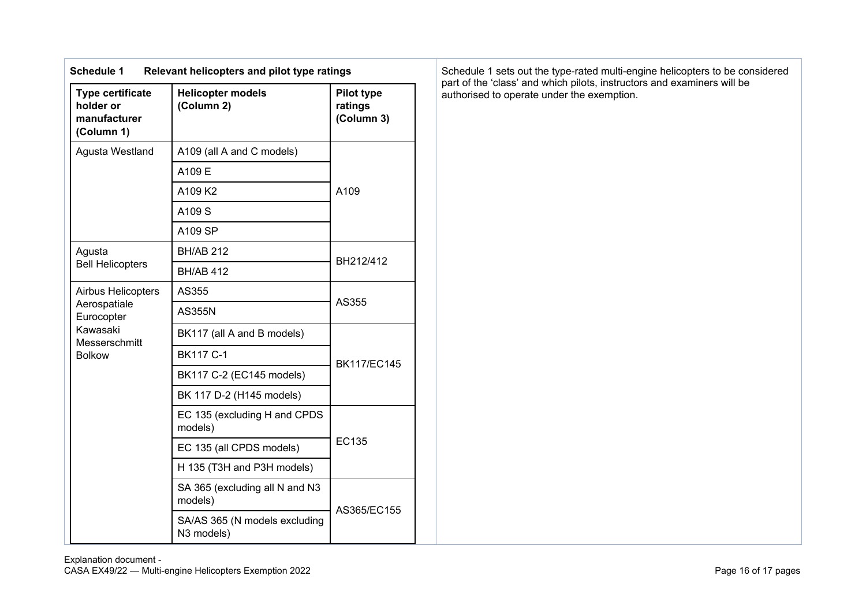| <b>Schedule 1</b>                                                  | Relevant helicopters and pilot type ratings |                                            |  |
|--------------------------------------------------------------------|---------------------------------------------|--------------------------------------------|--|
| <b>Type certificate</b><br>holder or<br>manufacturer<br>(Column 1) | <b>Helicopter models</b><br>(Column 2)      | <b>Pilot type</b><br>ratings<br>(Column 3) |  |
| Agusta Westland                                                    | A109 (all A and C models)                   |                                            |  |
|                                                                    | A109 E                                      |                                            |  |
|                                                                    | A109 K2                                     | A109                                       |  |
|                                                                    | A109 S                                      |                                            |  |
|                                                                    | A109 SP                                     |                                            |  |
| Agusta                                                             | <b>BH/AB 212</b>                            | BH212/412                                  |  |
| <b>Bell Helicopters</b>                                            | <b>BH/AB 412</b>                            |                                            |  |
| <b>Airbus Helicopters</b>                                          | AS355                                       |                                            |  |
| Aerospatiale<br>Eurocopter                                         | <b>AS355N</b>                               | AS355                                      |  |
| Kawasaki<br>Messerschmitt                                          | BK117 (all A and B models)                  |                                            |  |
| <b>Bolkow</b>                                                      | <b>BK117 C-1</b>                            | <b>BK117/EC145</b>                         |  |
|                                                                    | BK117 C-2 (EC145 models)                    |                                            |  |
|                                                                    | BK 117 D-2 (H145 models)                    |                                            |  |
|                                                                    | EC 135 (excluding H and CPDS<br>models)     |                                            |  |
|                                                                    | EC 135 (all CPDS models)                    | EC135                                      |  |
|                                                                    | H 135 (T3H and P3H models)                  |                                            |  |
|                                                                    | SA 365 (excluding all N and N3<br>models)   | AS365/EC155                                |  |
|                                                                    | SA/AS 365 (N models excluding<br>N3 models) |                                            |  |

Schedule 1 sets out the type-rated multi-engine helicopters to be considered part of the 'class' and which pilots, instructors and examiners will be authorised to operate under the exemption.